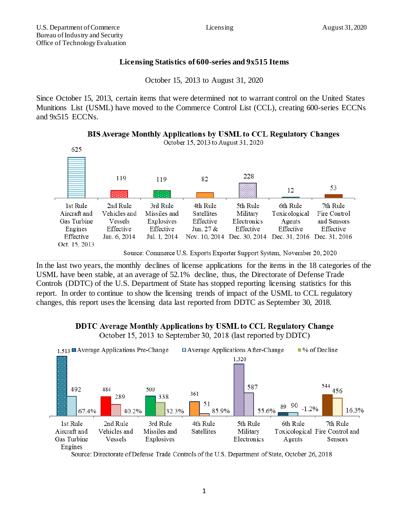## **Licensing Statistics of 600-series and 9x515 Items**

October 15, 2013 to August 31, 2020

Since October 15, 2013, certain items that were determined not to warrant control on the United States Munitions List (USML) have moved to the Commerce Control List (CCL), creating 600-series ECCNs and 9x515 ECCNs.

**BIS Average Monthly Applications by USML to CCL Regulatory Changes** 



Source: Commerce U.S. Exports Exporter Support System, November 20, 2020

In the last two years, the monthly declines of license applications for the items in the 18 categories of the USML have been stable, at an average of 52.1% decline, thus, the Directorate of Defense Trade Controls (DDTC) of the U.S. Department of State has stopped reporting licensing statistics for this report. In order to continue to show the licensing trends of impact of the USML to CCL regulatory changes, this report uses the licensing data last reported from DDTC as September 30, 2018.

## DDTC Average Monthly Applications by USML to CCL Regulatory Change

October 15, 2013 to September 30, 2018 (last reported by DDTC)



Source: Directorate of Defense Trade Controls of the U.S. Department of State, October 26, 2018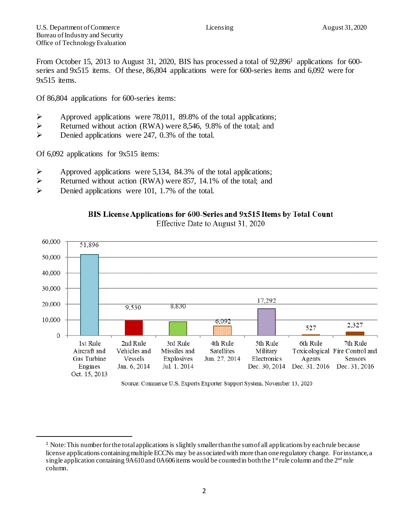From October 15, 2013 to August 31, 2020, BIS has processed a total of 92,896<sup>1</sup> applications for 600series and 9x515 items. Of these, 86,804 applications were for 600-series items and 6,092 were for 9x515 items.

Of 86,804 applications for 600-series items:

- Approved applications were 78,011, 89.8% of the total applications;<br>
Returned without action (RWA) were 8.546, 9.8% of the total: and
- Returned without action (RWA) were 8,546, 9.8% of the total; and
- $\triangleright$  Denied applications were 247, 0.3% of the total.

Of 6,092 applications for 9x515 items:

l

- $\triangleright$  Approved applications were 5,134, 84.3% of the total applications;
- $\triangleright$  Returned without action (RWA) were 857, 14.1% of the total; and
- $\triangleright$  Denied applications were 101, 1.7% of the total.





Effective Date to August 31, 2020

Source: Commerce U.S. Exports Exporter Support System, November 13, 2020

<sup>&</sup>lt;sup>1</sup> Note: This number for the total applications is slightly smaller than the sum of all applications by each rule because license applications containing multiple ECCNs may be associated with more than one regulatory change. For instance, a single application containing  $9A610$  and  $0A606$  items would be counted in both the  $1<sup>st</sup>$  rule column and the  $2<sup>nd</sup>$  rule column.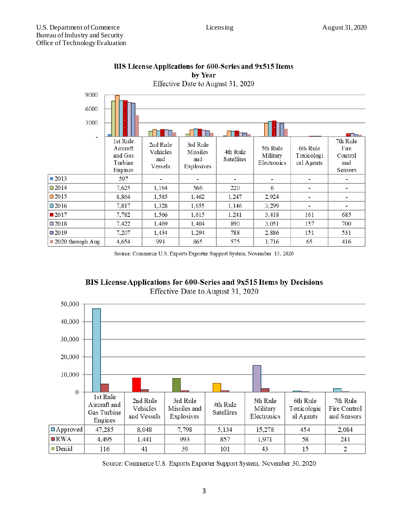| 9000<br>6000<br>3000<br>۰        |                                                       |                                        |                                           | П<br>. Em              |                                     |                                      | ona.                                          |  |  |
|----------------------------------|-------------------------------------------------------|----------------------------------------|-------------------------------------------|------------------------|-------------------------------------|--------------------------------------|-----------------------------------------------|--|--|
|                                  | 1st Rule<br>Aircraft<br>and Gas<br>Turbine<br>Engines | 2nd Rule<br>Vehicles<br>and<br>Vessels | 3rd Rule<br>Missiles<br>and<br>Explosives | 4th Rule<br>Satellites | 5th Rule<br>Military<br>Electronics | 6th Rule<br>Toxicologi<br>cal Agents | 7th Rule<br>Fire<br>Control<br>and<br>Sensors |  |  |
| ■2013                            | 597                                                   | $\blacksquare$                         |                                           |                        | $\blacksquare$                      |                                      |                                               |  |  |
| $\square$ 2014                   | 7,625                                                 | 1,164                                  | 566                                       | 220                    | 6                                   | $\blacksquare$                       | $\blacksquare$                                |  |  |
| $\square$ 2015                   | 8,864                                                 | 1,585                                  | 1,462                                     | 1,247                  | 2,924                               | $\overline{\phantom{0}}$             |                                               |  |  |
| $\square$ 2016                   | 7,817                                                 | 1,328                                  | 1,655                                     | 1,146                  | 3,299                               | ٠                                    |                                               |  |  |
| $\blacksquare$ 2017              | 7,782                                                 | 1,566                                  | 1,615                                     | 1,241                  | 3,418                               | 161                                  | 685                                           |  |  |
| $\square$ 2018                   | 7,422                                                 | 1,469                                  | 1,404                                     | 890                    | 3,051                               | 157                                  | 700                                           |  |  |
| $\square$ 2019                   | 7,207                                                 | 1,434                                  | 1,294                                     | 788                    | 2,886                               | 151                                  | 531                                           |  |  |
| $\blacksquare$ 2020 through Aug. | 4,654                                                 | 991                                    | 865                                       | 575                    | 1,716                               | 65                                   | 416                                           |  |  |

### BIS License Applications for 600-Series and 9x515 Items by Year Effective Date to August 31, 2020

Source: Commerce U.S. Exports Exporter Support System, November 13, 2020





Source: Commerce U.S. Exports Exporter Support System, November 30, 2020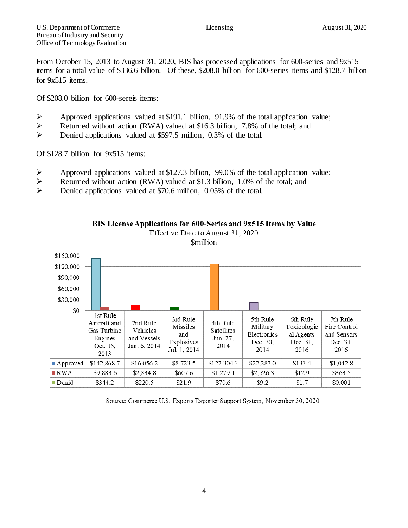From October 15, 2013 to August 31, 2020, BIS has processed applications for 600-series and 9x515 items for a total value of \$336.6 billion. Of these, \$208.0 billion for 600-series items and \$128.7 billion for 9x515 items.

Of \$208.0 billion for 600-sereis items:

- $\triangleright$  Approved applications valued at \$191.1 billion, 91.9% of the total application value;
- Returned without action (RWA) valued at \$16.3 billion, 7.8% of the total; and
- Denied applications valued at \$597.5 million, 0.3% of the total.

Of \$128.7 billion for 9x515 items:

- Approved applications valued at \$127.3 billion, 99.0% of the total application value;
- Returned without action (RWA) valued at \$1.3 billion, 1.0% of the total; and
- Denied applications valued at \$70.6 million, 0.05% of the total.



BIS License Applications for 600-Series and 9x515 Items by Value Effective Date to August 31, 2020 **Smillion** 

Source: Commerce U.S. Exports Exporter Support System, November 30, 2020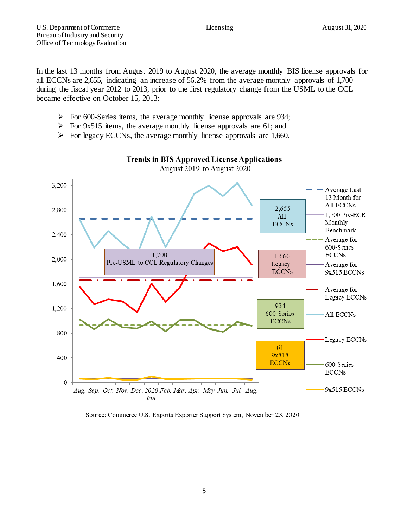In the last 13 months from August 2019 to August 2020, the average monthly BIS license approvals for all ECCNs are 2,655, indicating an increase of 56.2% from the average monthly approvals of 1,700 during the fiscal year 2012 to 2013, prior to the first regulatory change from the USML to the CCL became effective on October 15, 2013:

- $\triangleright$  For 600-Series items, the average monthly license approvals are 934;
- $\triangleright$  For 9x515 items, the average monthly license approvals are 61; and
- $\triangleright$  For legacy ECCNs, the average monthly license approvals are 1,660.



# **Trends in BIS Approved License Applications**

Source: Commerce U.S. Exports Exporter Support System, November 23, 2020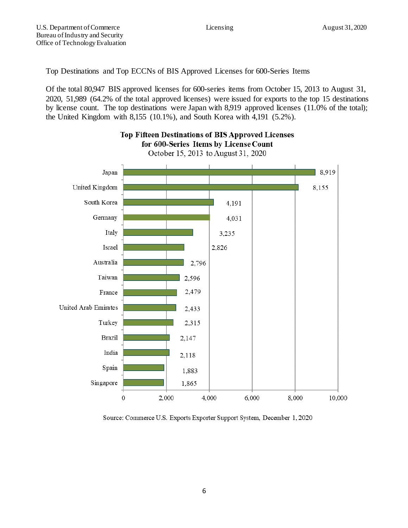Top Destinations and Top ECCNs of BIS Approved Licenses for 600-Series Items

Of the total 80,947 BIS approved licenses for 600-series items from October 15, 2013 to August 31, 2020, 51,989 (64.2% of the total approved licenses) were issued for exports to the top 15 destinations by license count. The top destinations were Japan with 8,919 approved licenses (11.0% of the total); the United Kingdom with 8,155 (10.1%), and South Korea with 4,191 (5.2%).

**Top Fifteen Destinations of BIS Approved Licenses** 



#### Source: Commerce U.S. Exports Exporter Support System, December 1, 2020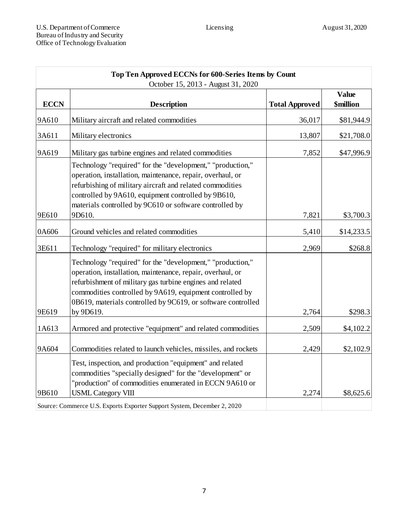| Top Ten Approved ECCNs for 600-Series Items by Count |                                                                                                                                                                                                                                                                                                                   |                       |                                  |  |  |  |
|------------------------------------------------------|-------------------------------------------------------------------------------------------------------------------------------------------------------------------------------------------------------------------------------------------------------------------------------------------------------------------|-----------------------|----------------------------------|--|--|--|
| <b>ECCN</b>                                          | October 15, 2013 - August 31, 2020<br><b>Description</b>                                                                                                                                                                                                                                                          | <b>Total Approved</b> | <b>Value</b><br><b>\$million</b> |  |  |  |
| 9A610                                                | Military aircraft and related commodities                                                                                                                                                                                                                                                                         | 36,017                | \$81,944.9                       |  |  |  |
| 3A611                                                | Military electronics                                                                                                                                                                                                                                                                                              | 13,807                | \$21,708.0                       |  |  |  |
| 9A619                                                | Military gas turbine engines and related commodities                                                                                                                                                                                                                                                              | 7,852                 | \$47,996.9                       |  |  |  |
|                                                      | Technology "required" for the "development," "production,"<br>operation, installation, maintenance, repair, overhaul, or<br>refurbishing of military aircraft and related commodities<br>controlled by 9A610, equipment controlled by 9B610,<br>materials controlled by 9C610 or software controlled by           |                       |                                  |  |  |  |
| 9E610                                                | 9D610.                                                                                                                                                                                                                                                                                                            | 7,821                 | \$3,700.3                        |  |  |  |
| 0A606                                                | Ground vehicles and related commodities                                                                                                                                                                                                                                                                           | 5,410                 | \$14,233.5                       |  |  |  |
| 3E611                                                | Technology "required" for military electronics                                                                                                                                                                                                                                                                    | 2,969                 | \$268.8                          |  |  |  |
|                                                      | Technology "required" for the "development," "production,"<br>operation, installation, maintenance, repair, overhaul, or<br>refurbishment of military gas turbine engines and related<br>commodities controlled by 9A619, equipment controlled by<br>0B619, materials controlled by 9C619, or software controlled |                       |                                  |  |  |  |
| 9E619                                                | by 9D619.                                                                                                                                                                                                                                                                                                         | 2,764                 | \$298.3                          |  |  |  |
| 1A613                                                | Armored and protective "equipment" and related commodities                                                                                                                                                                                                                                                        | 2,509                 | \$4,102.2                        |  |  |  |
| 9A604                                                | Commodities related to launch vehicles, missiles, and rockets                                                                                                                                                                                                                                                     | 2,429                 | \$2,102.9                        |  |  |  |
|                                                      | Test, inspection, and production "equipment" and related<br>commodities "specially designed" for the "development" or<br>"production" of commodities enumerated in ECCN 9A610 or                                                                                                                                  |                       |                                  |  |  |  |
| 9B610                                                | <b>USML</b> Category VIII                                                                                                                                                                                                                                                                                         | 2,274                 | \$8,625.6                        |  |  |  |
|                                                      | Source: Commerce U.S. Exports Exporter Support System, December 2, 2020                                                                                                                                                                                                                                           |                       |                                  |  |  |  |